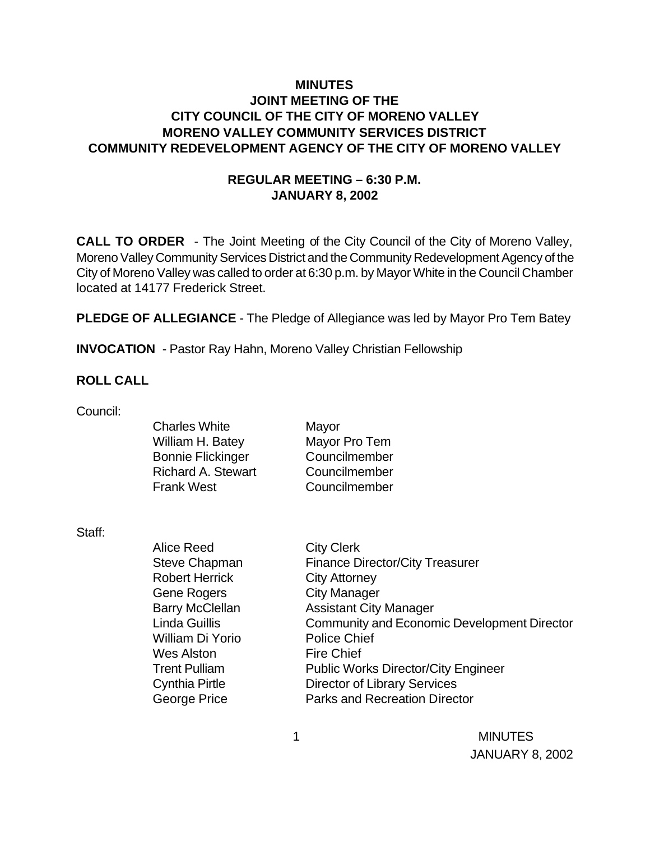# **MINUTES JOINT MEETING OF THE CITY COUNCIL OF THE CITY OF MORENO VALLEY MORENO VALLEY COMMUNITY SERVICES DISTRICT COMMUNITY REDEVELOPMENT AGENCY OF THE CITY OF MORENO VALLEY**

# **REGULAR MEETING – 6:30 P.M. JANUARY 8, 2002**

**CALL TO ORDER** - The Joint Meeting of the City Council of the City of Moreno Valley, Moreno Valley Community Services District and the Community Redevelopment Agency of the City of Moreno Valley was called to order at 6:30 p.m. by Mayor White in the Council Chamber located at 14177 Frederick Street.

**PLEDGE OF ALLEGIANCE** - The Pledge of Allegiance was led by Mayor Pro Tem Batey

Mayor

**INVOCATION** - Pastor Ray Hahn, Moreno Valley Christian Fellowship

### **ROLL CALL**

| Council: |  |
|----------|--|
|----------|--|

| <b>Charles White</b>      | Mayor         |
|---------------------------|---------------|
| William H. Batey          | Mayor Pro Tem |
| <b>Bonnie Flickinger</b>  | Councilmember |
| <b>Richard A. Stewart</b> | Councilmember |
| <b>Frank West</b>         | Councilmember |
|                           |               |

Staff:

Alice Reed City Clerk Steve Chapman Finance Director/City Treasurer Robert Herrick City Attorney Gene Rogers City Manager Barry McClellan Assistant City Manager Linda Guillis Community and Economic Development Director William Di Yorio Police Chief Wes Alston Fire Chief Trent Pulliam **Public Works Director/City Engineer** Cynthia Pirtle Director of Library Services George Price **Parks and Recreation Director** 

> 1 MINUTES JANUARY 8, 2002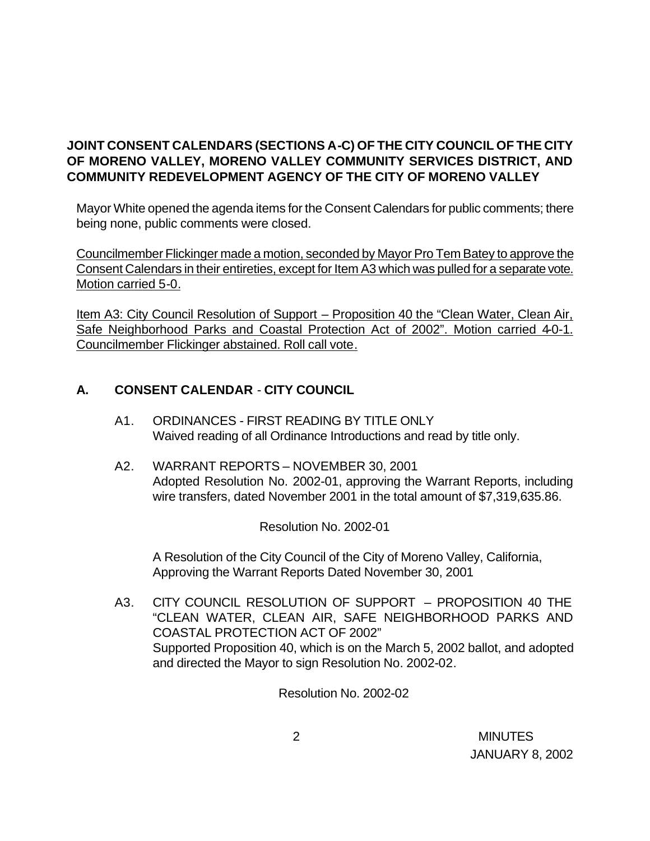# **JOINT CONSENT CALENDARS (SECTIONS A-C) OF THE CITY COUNCIL OF THE CITY OF MORENO VALLEY, MORENO VALLEY COMMUNITY SERVICES DISTRICT, AND COMMUNITY REDEVELOPMENT AGENCY OF THE CITY OF MORENO VALLEY**

Mayor White opened the agenda items for the Consent Calendars for public comments; there being none, public comments were closed.

Councilmember Flickinger made a motion, seconded by Mayor Pro Tem Batey to approve the Consent Calendars in their entireties, except for Item A3 which was pulled for a separate vote. Motion carried 5-0.

Item A3: City Council Resolution of Support – Proposition 40 the "Clean Water, Clean Air, Safe Neighborhood Parks and Coastal Protection Act of 2002". Motion carried 4-0-1. Councilmember Flickinger abstained. Roll call vote.

# **A. CONSENT CALENDAR** - **CITY COUNCIL**

- A1. ORDINANCES FIRST READING BY TITLE ONLY Waived reading of all Ordinance Introductions and read by title only.
- A2. WARRANT REPORTS NOVEMBER 30, 2001 Adopted Resolution No. 2002-01, approving the Warrant Reports, including wire transfers, dated November 2001 in the total amount of \$7,319,635.86.

Resolution No. 2002-01

A Resolution of the City Council of the City of Moreno Valley, California, Approving the Warrant Reports Dated November 30, 2001

A3. CITY COUNCIL RESOLUTION OF SUPPORT – PROPOSITION 40 THE "CLEAN WATER, CLEAN AIR, SAFE NEIGHBORHOOD PARKS AND COASTAL PROTECTION ACT OF 2002" Supported Proposition 40, which is on the March 5, 2002 ballot, and adopted and directed the Mayor to sign Resolution No. 2002-02.

Resolution No. 2002-02

 2 MINUTES JANUARY 8, 2002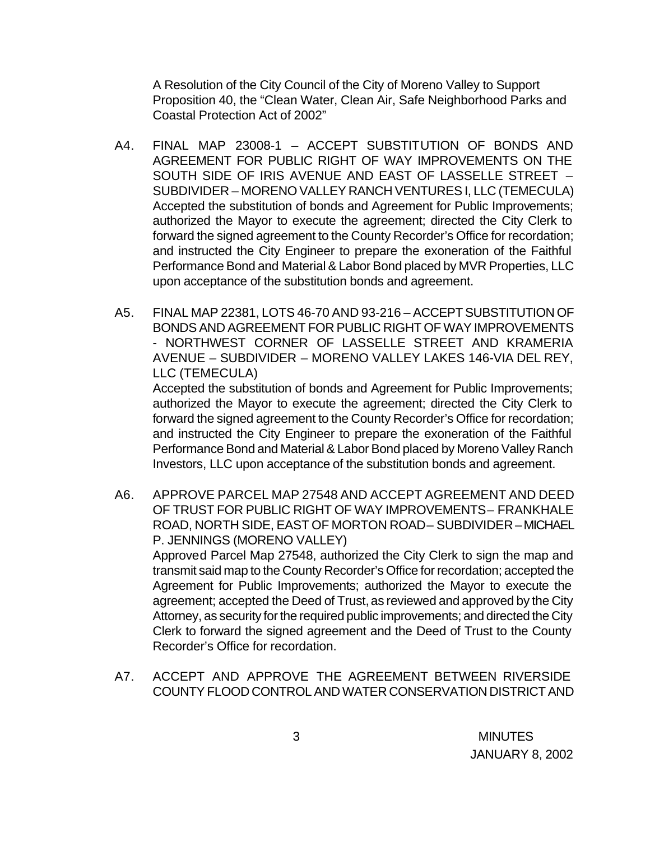A Resolution of the City Council of the City of Moreno Valley to Support Proposition 40, the "Clean Water, Clean Air, Safe Neighborhood Parks and Coastal Protection Act of 2002"

- A4. FINAL MAP 23008-1 ACCEPT SUBSTITUTION OF BONDS AND AGREEMENT FOR PUBLIC RIGHT OF WAY IMPROVEMENTS ON THE SOUTH SIDE OF IRIS AVENUE AND EAST OF LASSELLE STREET – SUBDIVIDER – MORENO VALLEY RANCH VENTURES I, LLC (TEMECULA) Accepted the substitution of bonds and Agreement for Public Improvements; authorized the Mayor to execute the agreement; directed the City Clerk to forward the signed agreement to the County Recorder's Office for recordation; and instructed the City Engineer to prepare the exoneration of the Faithful Performance Bond and Material & Labor Bond placed by MVR Properties, LLC upon acceptance of the substitution bonds and agreement.
- A5. FINAL MAP 22381, LOTS 46-70 AND 93-216 ACCEPT SUBSTITUTION OF BONDS AND AGREEMENT FOR PUBLIC RIGHT OF WAY IMPROVEMENTS - NORTHWEST CORNER OF LASSELLE STREET AND KRAMERIA AVENUE – SUBDIVIDER – MORENO VALLEY LAKES 146-VIA DEL REY, LLC (TEMECULA)

Accepted the substitution of bonds and Agreement for Public Improvements; authorized the Mayor to execute the agreement; directed the City Clerk to forward the signed agreement to the County Recorder's Office for recordation; and instructed the City Engineer to prepare the exoneration of the Faithful Performance Bond and Material & Labor Bond placed by Moreno Valley Ranch Investors, LLC upon acceptance of the substitution bonds and agreement.

- A6. APPROVE PARCEL MAP 27548 AND ACCEPT AGREEMENT AND DEED OF TRUST FOR PUBLIC RIGHT OF WAY IMPROVEMENTS – FRANKHALE ROAD, NORTH SIDE, EAST OF MORTON ROAD – SUBDIVIDER – MICHAEL P. JENNINGS (MORENO VALLEY) Approved Parcel Map 27548, authorized the City Clerk to sign the map and transmit said map to the County Recorder's Office for recordation; accepted the Agreement for Public Improvements; authorized the Mayor to execute the agreement; accepted the Deed of Trust, as reviewed and approved by the City Attorney, as security for the required public improvements; and directed the City Clerk to forward the signed agreement and the Deed of Trust to the County Recorder's Office for recordation.
- A7. ACCEPT AND APPROVE THE AGREEMENT BETWEEN RIVERSIDE COUNTY FLOOD CONTROL AND WATER CONSERVATION DISTRICT AND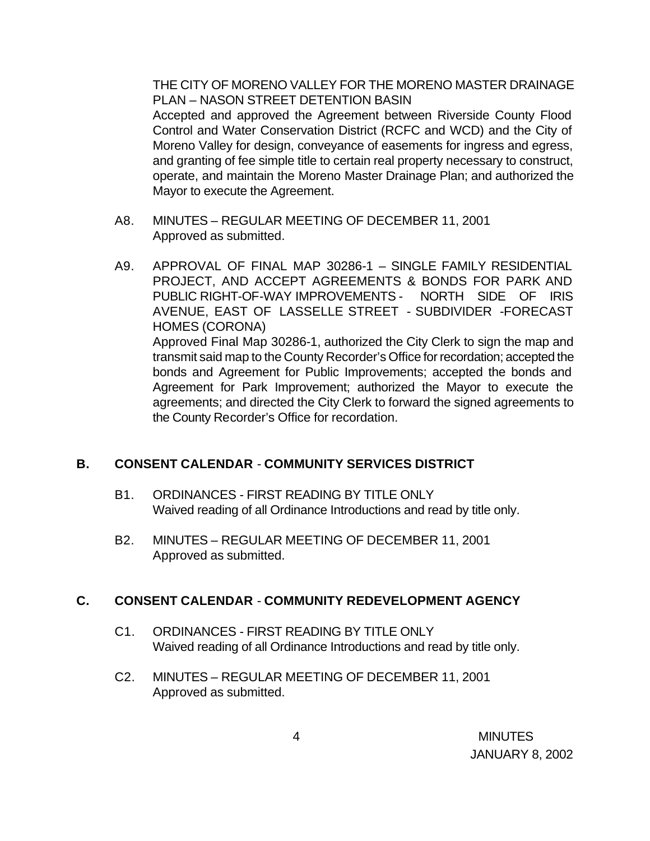THE CITY OF MORENO VALLEY FOR THE MORENO MASTER DRAINAGE PLAN – NASON STREET DETENTION BASIN

Accepted and approved the Agreement between Riverside County Flood Control and Water Conservation District (RCFC and WCD) and the City of Moreno Valley for design, conveyance of easements for ingress and egress, and granting of fee simple title to certain real property necessary to construct, operate, and maintain the Moreno Master Drainage Plan; and authorized the Mayor to execute the Agreement.

- A8. MINUTES REGULAR MEETING OF DECEMBER 11, 2001 Approved as submitted.
- A9. APPROVAL OF FINAL MAP 30286-1 SINGLE FAMILY RESIDENTIAL PROJECT, AND ACCEPT AGREEMENTS & BONDS FOR PARK AND PUBLIC RIGHT-OF-WAY IMPROVEMENTS - NORTH SIDE OF IRIS AVENUE, EAST OF LASSELLE STREET - SUBDIVIDER -FORECAST HOMES (CORONA) Approved Final Map 30286-1, authorized the City Clerk to sign the map and transmit said map to the County Recorder's Office for recordation; accepted the bonds and Agreement for Public Improvements; accepted the bonds and Agreement for Park Improvement; authorized the Mayor to execute the agreements; and directed the City Clerk to forward the signed agreements to the County Recorder's Office for recordation.

# **B. CONSENT CALENDAR** - **COMMUNITY SERVICES DISTRICT**

- B1. ORDINANCES FIRST READING BY TITLE ONLY Waived reading of all Ordinance Introductions and read by title only.
- B2. MINUTES REGULAR MEETING OF DECEMBER 11, 2001 Approved as submitted.

# **C. CONSENT CALENDAR** - **COMMUNITY REDEVELOPMENT AGENCY**

- C1. ORDINANCES FIRST READING BY TITLE ONLY Waived reading of all Ordinance Introductions and read by title only.
- C2. MINUTES REGULAR MEETING OF DECEMBER 11, 2001 Approved as submitted.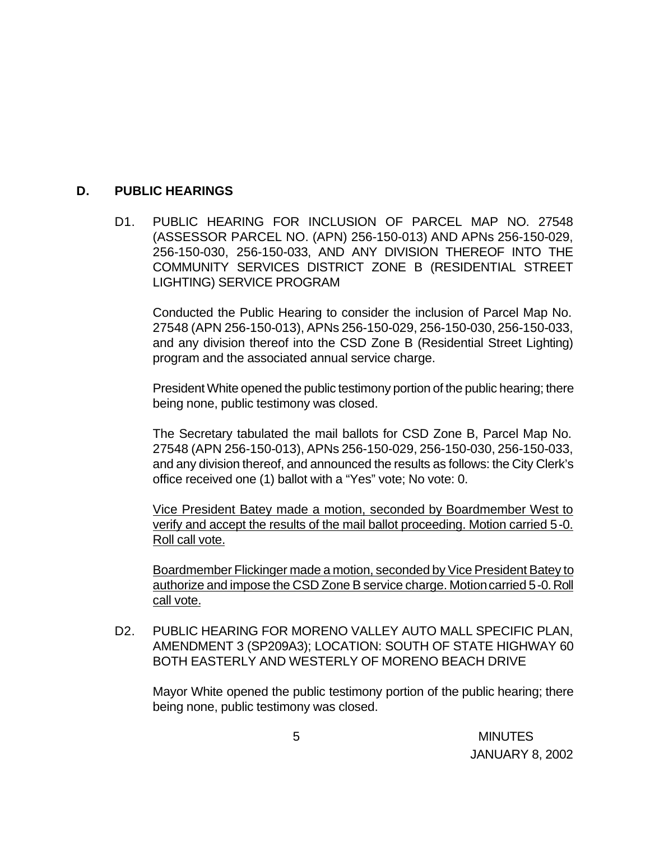### **D. PUBLIC HEARINGS**

D1. PUBLIC HEARING FOR INCLUSION OF PARCEL MAP NO. 27548 (ASSESSOR PARCEL NO. (APN) 256-150-013) AND APNs 256-150-029, 256-150-030, 256-150-033, AND ANY DIVISION THEREOF INTO THE COMMUNITY SERVICES DISTRICT ZONE B (RESIDENTIAL STREET LIGHTING) SERVICE PROGRAM

Conducted the Public Hearing to consider the inclusion of Parcel Map No. 27548 (APN 256-150-013), APNs 256-150-029, 256-150-030, 256-150-033, and any division thereof into the CSD Zone B (Residential Street Lighting) program and the associated annual service charge.

President White opened the public testimony portion of the public hearing; there being none, public testimony was closed.

The Secretary tabulated the mail ballots for CSD Zone B, Parcel Map No. 27548 (APN 256-150-013), APNs 256-150-029, 256-150-030, 256-150-033, and any division thereof, and announced the results as follows: the City Clerk's office received one (1) ballot with a "Yes" vote; No vote: 0.

Vice President Batey made a motion, seconded by Boardmember West to verify and accept the results of the mail ballot proceeding. Motion carried 5-0. Roll call vote.

Boardmember Flickinger made a motion, seconded by Vice President Batey to authorize and impose the CSD Zone B service charge. Motion carried 5-0. Roll call vote.

D2. PUBLIC HEARING FOR MORENO VALLEY AUTO MALL SPECIFIC PLAN, AMENDMENT 3 (SP209A3); LOCATION: SOUTH OF STATE HIGHWAY 60 BOTH EASTERLY AND WESTERLY OF MORENO BEACH DRIVE

Mayor White opened the public testimony portion of the public hearing; there being none, public testimony was closed.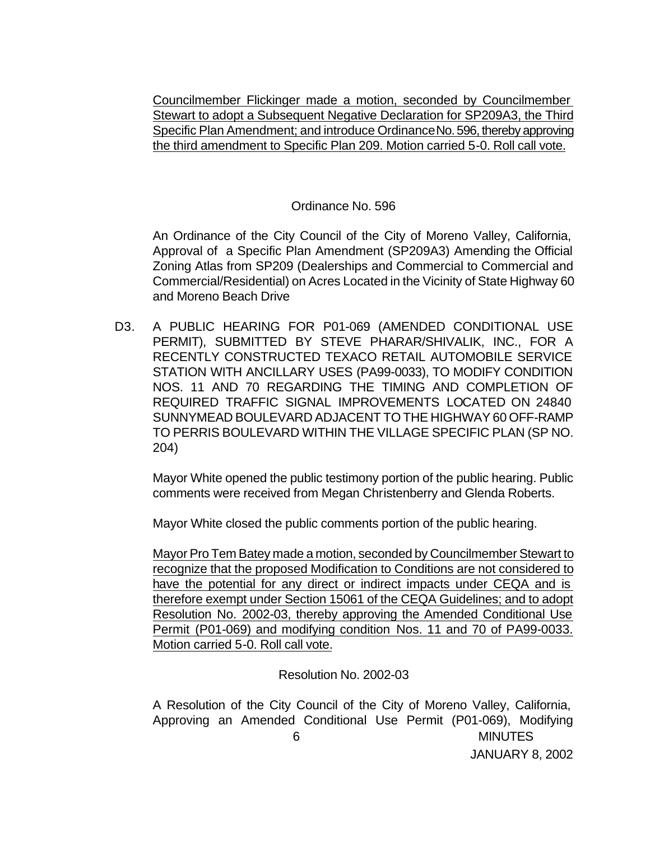Councilmember Flickinger made a motion, seconded by Councilmember Stewart to adopt a Subsequent Negative Declaration for SP209A3, the Third Specific Plan Amendment; and introduce Ordinance No. 596, thereby approving the third amendment to Specific Plan 209. Motion carried 5-0. Roll call vote.

#### Ordinance No. 596

An Ordinance of the City Council of the City of Moreno Valley, California, Approval of a Specific Plan Amendment (SP209A3) Amending the Official Zoning Atlas from SP209 (Dealerships and Commercial to Commercial and Commercial/Residential) on Acres Located in the Vicinity of State Highway 60 and Moreno Beach Drive

D3. A PUBLIC HEARING FOR P01-069 (AMENDED CONDITIONAL USE PERMIT), SUBMITTED BY STEVE PHARAR/SHIVALIK, INC., FOR A RECENTLY CONSTRUCTED TEXACO RETAIL AUTOMOBILE SERVICE STATION WITH ANCILLARY USES (PA99-0033), TO MODIFY CONDITION NOS. 11 AND 70 REGARDING THE TIMING AND COMPLETION OF REQUIRED TRAFFIC SIGNAL IMPROVEMENTS LOCATED ON 24840 SUNNYMEAD BOULEVARD ADJACENT TO THE HIGHWAY 60 OFF-RAMP TO PERRIS BOULEVARD WITHIN THE VILLAGE SPECIFIC PLAN (SP NO. 204)

Mayor White opened the public testimony portion of the public hearing. Public comments were received from Megan Christenberry and Glenda Roberts.

Mayor White closed the public comments portion of the public hearing.

Mayor Pro Tem Batey made a motion, seconded by Councilmember Stewart to recognize that the proposed Modification to Conditions are not considered to have the potential for any direct or indirect impacts under CEQA and is therefore exempt under Section 15061 of the CEQA Guidelines; and to adopt Resolution No. 2002-03, thereby approving the Amended Conditional Use Permit (P01-069) and modifying condition Nos. 11 and 70 of PA99-0033. Motion carried 5-0. Roll call vote.

Resolution No. 2002-03

 6 MINUTES JANUARY 8, 2002 A Resolution of the City Council of the City of Moreno Valley, California, Approving an Amended Conditional Use Permit (P01-069), Modifying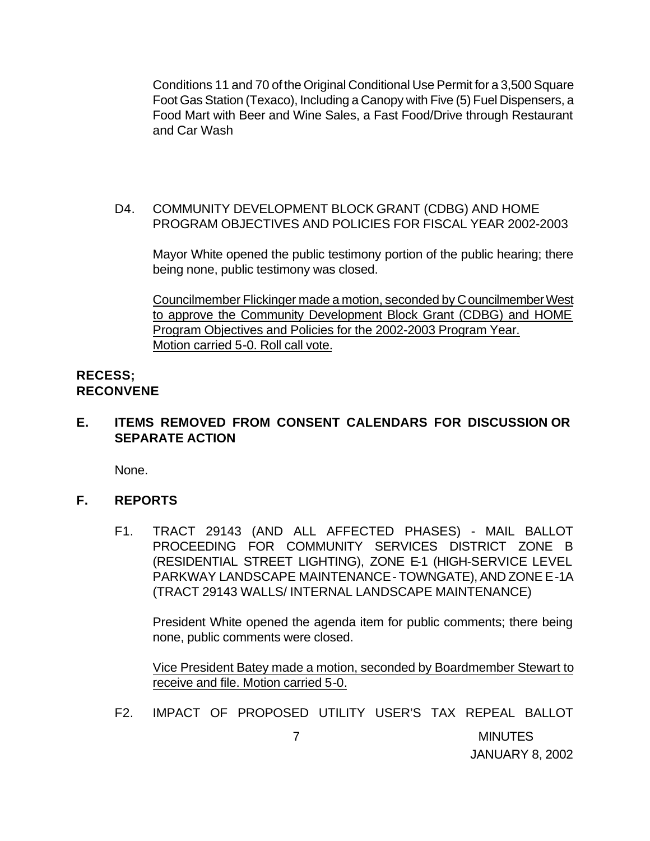Conditions 11 and 70 of the Original Conditional Use Permit for a 3,500 Square Foot Gas Station (Texaco), Including a Canopy with Five (5) Fuel Dispensers, a Food Mart with Beer and Wine Sales, a Fast Food/Drive through Restaurant and Car Wash

D4. COMMUNITY DEVELOPMENT BLOCK GRANT (CDBG) AND HOME PROGRAM OBJECTIVES AND POLICIES FOR FISCAL YEAR 2002-2003

Mayor White opened the public testimony portion of the public hearing; there being none, public testimony was closed.

Councilmember Flickinger made a motion, seconded by Councilmember West to approve the Community Development Block Grant (CDBG) and HOME Program Objectives and Policies for the 2002-2003 Program Year. Motion carried 5-0. Roll call vote.

## **RECESS; RECONVENE**

# **E. ITEMS REMOVED FROM CONSENT CALENDARS FOR DISCUSSION OR SEPARATE ACTION**

None.

### **F. REPORTS**

F1. TRACT 29143 (AND ALL AFFECTED PHASES) - MAIL BALLOT PROCEEDING FOR COMMUNITY SERVICES DISTRICT ZONE B (RESIDENTIAL STREET LIGHTING), ZONE E-1 (HIGH-SERVICE LEVEL PARKWAY LANDSCAPE MAINTENANCE - TOWNGATE), AND ZONE E-1A (TRACT 29143 WALLS/ INTERNAL LANDSCAPE MAINTENANCE)

President White opened the agenda item for public comments; there being none, public comments were closed.

Vice President Batey made a motion, seconded by Boardmember Stewart to receive and file. Motion carried 5-0.

JANUARY 8, 2002

F2. IMPACT OF PROPOSED UTILITY USER'S TAX REPEAL BALLOT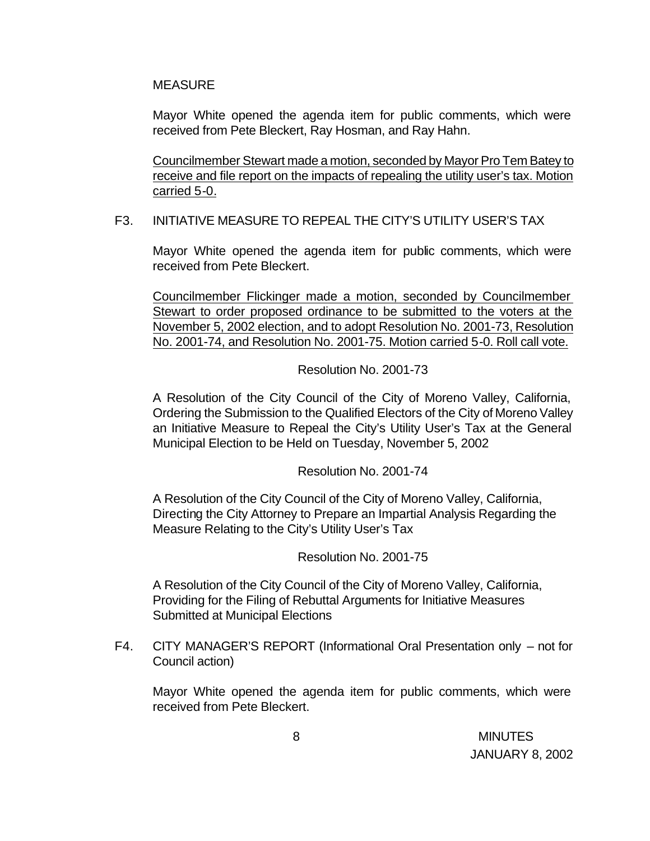#### MEASURE

Mayor White opened the agenda item for public comments, which were received from Pete Bleckert, Ray Hosman, and Ray Hahn.

Councilmember Stewart made a motion, seconded by Mayor Pro Tem Batey to receive and file report on the impacts of repealing the utility user's tax. Motion carried 5-0.

### F3. INITIATIVE MEASURE TO REPEAL THE CITY'S UTILITY USER'S TAX

Mayor White opened the agenda item for public comments, which were received from Pete Bleckert.

Councilmember Flickinger made a motion, seconded by Councilmember Stewart to order proposed ordinance to be submitted to the voters at the November 5, 2002 election, and to adopt Resolution No. 2001-73, Resolution No. 2001-74, and Resolution No. 2001-75. Motion carried 5-0. Roll call vote.

Resolution No. 2001-73

A Resolution of the City Council of the City of Moreno Valley, California, Ordering the Submission to the Qualified Electors of the City of Moreno Valley an Initiative Measure to Repeal the City's Utility User's Tax at the General Municipal Election to be Held on Tuesday, November 5, 2002

Resolution No. 2001-74

A Resolution of the City Council of the City of Moreno Valley, California, Directing the City Attorney to Prepare an Impartial Analysis Regarding the Measure Relating to the City's Utility User's Tax

Resolution No. 2001-75

A Resolution of the City Council of the City of Moreno Valley, California, Providing for the Filing of Rebuttal Arguments for Initiative Measures Submitted at Municipal Elections

F4. CITY MANAGER'S REPORT (Informational Oral Presentation only – not for Council action)

Mayor White opened the agenda item for public comments, which were received from Pete Bleckert.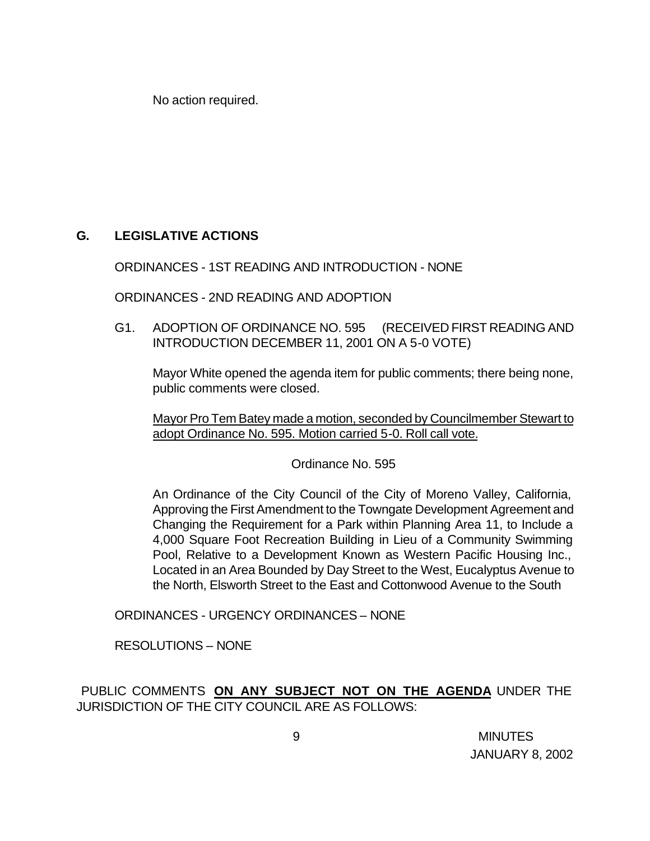No action required.

# **G. LEGISLATIVE ACTIONS**

ORDINANCES - 1ST READING AND INTRODUCTION - NONE

ORDINANCES - 2ND READING AND ADOPTION

G1. ADOPTION OF ORDINANCE NO. 595 (RECEIVED FIRST READING AND INTRODUCTION DECEMBER 11, 2001 ON A 5-0 VOTE)

Mayor White opened the agenda item for public comments; there being none, public comments were closed.

Mayor Pro Tem Batey made a motion, seconded by Councilmember Stewart to adopt Ordinance No. 595. Motion carried 5-0. Roll call vote.

Ordinance No. 595

An Ordinance of the City Council of the City of Moreno Valley, California, Approving the First Amendment to the Towngate Development Agreement and Changing the Requirement for a Park within Planning Area 11, to Include a 4,000 Square Foot Recreation Building in Lieu of a Community Swimming Pool, Relative to a Development Known as Western Pacific Housing Inc., Located in an Area Bounded by Day Street to the West, Eucalyptus Avenue to the North, Elsworth Street to the East and Cottonwood Avenue to the South

ORDINANCES - URGENCY ORDINANCES – NONE

RESOLUTIONS – NONE

PUBLIC COMMENTS **ON ANY SUBJECT NOT ON THE AGENDA** UNDER THE JURISDICTION OF THE CITY COUNCIL ARE AS FOLLOWS: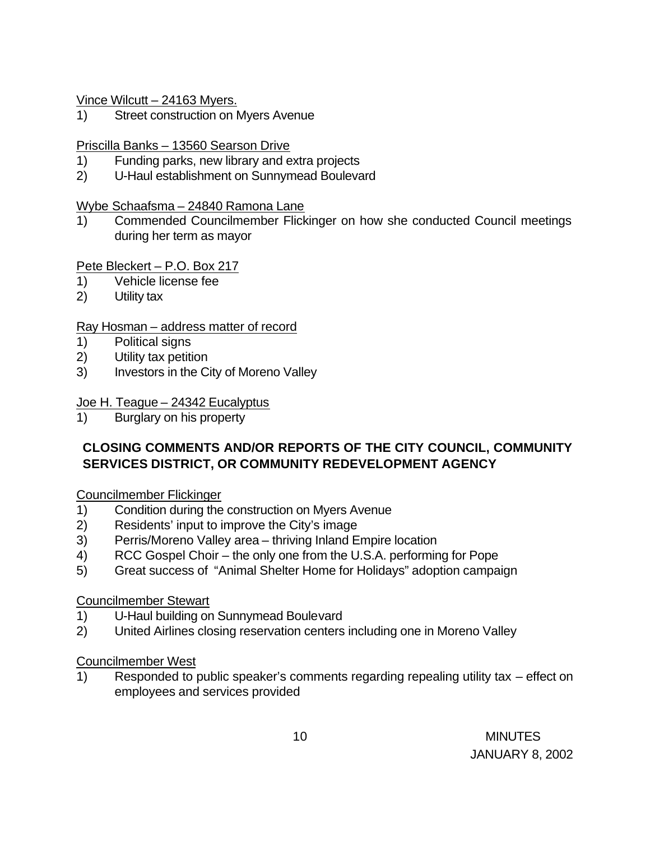Vince Wilcutt – 24163 Myers.

1) Street construction on Myers Avenue

# Priscilla Banks – 13560 Searson Drive

- 1) Funding parks, new library and extra projects
- 2) U-Haul establishment on Sunnymead Boulevard

### Wybe Schaafsma – 24840 Ramona Lane

1) Commended Councilmember Flickinger on how she conducted Council meetings during her term as mayor

### Pete Bleckert – P.O. Box 217

- 1) Vehicle license fee
- 2) Utility tax

### Ray Hosman – address matter of record

- 1) Political signs
- 2) Utility tax petition
- 3) Investors in the City of Moreno Valley

### Joe H. Teague – 24342 Eucalyptus

1) Burglary on his property

# **CLOSING COMMENTS AND/OR REPORTS OF THE CITY COUNCIL, COMMUNITY SERVICES DISTRICT, OR COMMUNITY REDEVELOPMENT AGENCY**

### Councilmember Flickinger

- 1) Condition during the construction on Myers Avenue
- 2) Residents' input to improve the City's image
- 3) Perris/Moreno Valley area thriving Inland Empire location
- 4) RCC Gospel Choir the only one from the U.S.A. performing for Pope
- 5) Great success of "Animal Shelter Home for Holidays" adoption campaign

### Councilmember Stewart

- 1) U-Haul building on Sunnymead Boulevard
- 2) United Airlines closing reservation centers including one in Moreno Valley

### Councilmember West

1) Responded to public speaker's comments regarding repealing utility tax – effect on employees and services provided